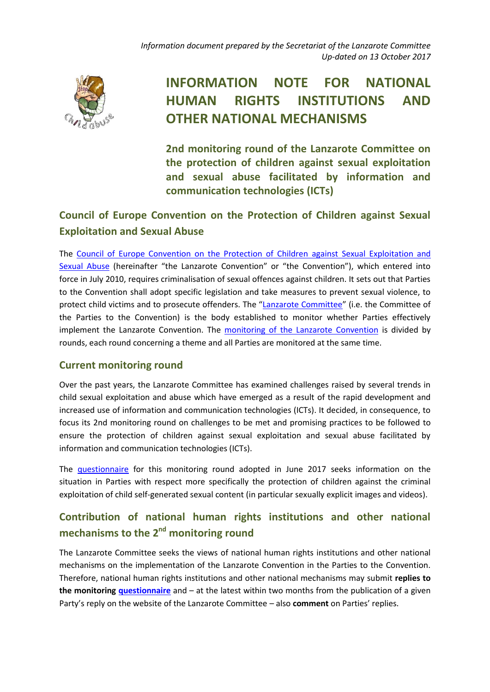*Information document prepared by the Secretariat of the Lanzarote Committee Up-dated on 13 October 2017*



## **INFORMATION NOTE FOR NATIONAL HUMAN RIGHTS INSTITUTIONS AND OTHER NATIONAL MECHANISMS**

**2nd monitoring round of the Lanzarote Committee on the protection of children against sexual exploitation and sexual abuse facilitated by information and communication technologies (ICTs)**

## **Council of Europe Convention on the Protection of Children against Sexual Exploitation and Sexual Abuse**

The [Council of Europe Convention on the Protection of Children against Sexual Exploitation and](https://rm.coe.int/16806f7d9e)  [Sexual Abuse](https://rm.coe.int/16806f7d9e) (hereinafter "the Lanzarote Convention" or "the Convention"), which entered into force in July 2010, requires criminalisation of sexual offences against children. It sets out that Parties to the Convention shall adopt specific legislation and take measures to prevent sexual violence, to protect child victims and to prosecute offenders. The "[Lanzarote Committee](https://www.coe.int/en/web/children/lanzarote-committee)" (i.e. the Committee of the Parties to the Convention) is the body established to monitor whether Parties effectively implement the Lanzarote Convention. The monitoring [of the Lanzarote Convention](http://www.coe.int/en/web/children/monitoring1) is divided by rounds, each round concerning a theme and all Parties are monitored at the same time.

## **Current monitoring round**

Over the past years, the Lanzarote Committee has examined challenges raised by several trends in child sexual exploitation and abuse which have emerged as a result of the rapid development and increased use of information and communication technologies (ICTs). It decided, in consequence, to focus its 2nd monitoring round on challenges to be met and promising practices to be followed to ensure the protection of children against sexual exploitation and sexual abuse facilitated by information and communication technologies (ICTs).

The [questionnaire](https://rm.coe.int/thematic-questionnaire-for-the-2nd-monitoring-round-on-the-protection-/168075f307) for this monitoring round adopted in June 2017 seeks information on the situation in Parties with respect more specifically the protection of children against the criminal exploitation of child self-generated sexual content (in particular sexually explicit images and videos).

## **Contribution of national human rights institutions and other national**  mechanisms to the 2<sup>nd</sup> monitoring round

The Lanzarote Committee seeks the views of national human rights institutions and other national mechanisms on the implementation of the Lanzarote Convention in the Parties to the Convention. Therefore, national human rights institutions and other national mechanisms may submit **replies to the monitoring [questionnaire](https://rm.coe.int/thematic-questionnaire-for-the-2nd-monitoring-round-on-the-protection-/168075f307)** and – at the latest within two months from the publication of a given Party's reply on the website of the Lanzarote Committee – also **comment** on Parties' replies.